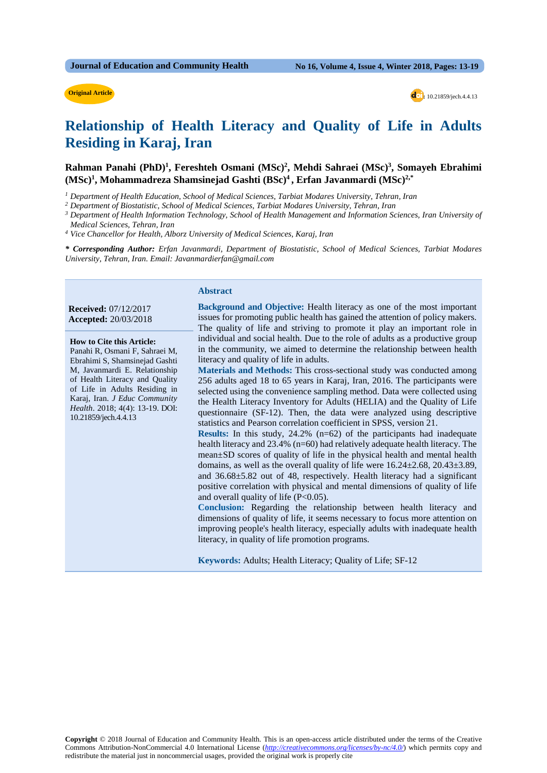#### **Original Article**

**d** : 10.21859/jech.4.4.13

## **Relationship of Health Literacy and Quality of Life in Adults Residing in Karaj, Iran**

Rahman Panahi (PhD)<sup>1</sup>, Fereshteh Osmani (MSc)<sup>2</sup>, Mehdi Sahraei (MSc)<sup>3</sup>, Somayeh Ebrahimi **(MSc)1 , Mohammadreza Shamsinejad Gashti (BSc)4 , Erfan Javanmardi (MSc)2,\***

*<sup>1</sup> Department of Health Education, School of Medical Sciences, Tarbiat Modares University, Tehran, Iran*

*<sup>2</sup> Department of Biostatistic, School of Medical Sciences, Tarbiat Modares University, Tehran, Iran* 

*<sup>3</sup> Department of Health Information Technology, School of Health Management and Information Sciences, Iran University of Medical Sciences, Tehran, Iran*

*<sup>4</sup> Vice Chancellor for Health, Alborz University of Medical Sciences, Karaj, Iran*

*\* Corresponding Author: Erfan Javanmardi, Department of Biostatistic, School of Medical Sciences, Tarbiat Modares University, Tehran, Iran. Email: Javanmardierfan@gmail.com*

#### **Abstract**

**Received:** 07/12/2017 **Accepted:** 20/03/2018

 **How to Cite this Article:** Panahi R, Osmani F, Sahraei M, Ebrahimi S, Shamsinejad Gashti M, Javanmardi E. Relationship of Health Literacy and Quality of Life in Adults Residing in Karaj, Iran. *J Educ Community Health*. 2018; 4(4): 13-19. DOI: 10.21859/jech.4.4.13

**Background and Objective:** Health literacy as one of the most important issues for promoting public health has gained the attention of policy makers. The quality of life and striving to promote it play an important role in individual and social health. Due to the role of adults as a productive group in the community, we aimed to determine the relationship between health literacy and quality of life in adults.

**Materials and Methods:** This cross-sectional study was conducted among 256 adults aged 18 to 65 years in Karaj, Iran, 2016. The participants were selected using the convenience sampling method. Data were collected using the Health Literacy Inventory for Adults (HELIA) and the Quality of Life questionnaire (SF-12). Then, the data were analyzed using descriptive statistics and Pearson correlation coefficient in SPSS, version 21.

**Results:** In this study, 24.2% (n=62) of the participants had inadequate health literacy and 23.4% (n=60) had relatively adequate health literacy. The mean±SD scores of quality of life in the physical health and mental health domains, as well as the overall quality of life were  $16.24 \pm 2.68$ ,  $20.43 \pm 3.89$ , and 36.68±5.82 out of 48, respectively. Health literacy had a significant positive correlation with physical and mental dimensions of quality of life and overall quality of life  $(P<0.05)$ .

**Conclusion:** Regarding the relationship between health literacy and dimensions of quality of life, it seems necessary to focus more attention on improving people's health literacy, especially adults with inadequate health literacy, in quality of life promotion programs.

**Keywords:** Adults; Health Literacy; Quality of Life; SF-12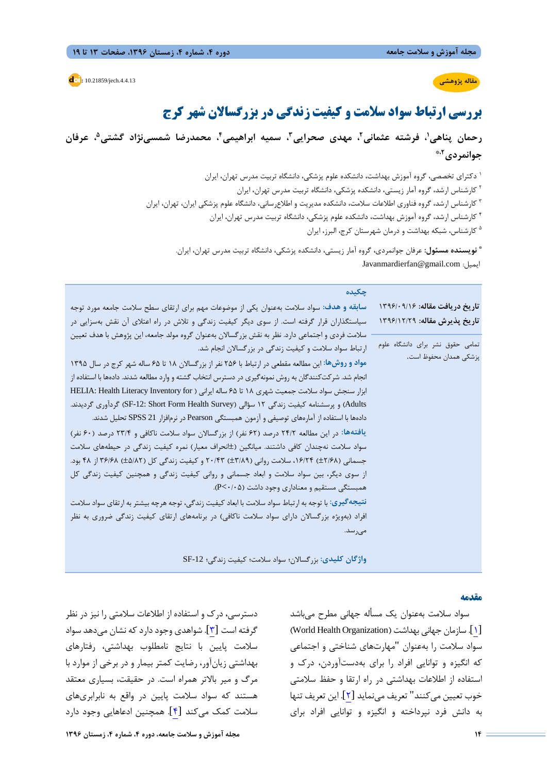#### **d**: 10.21859/jech.4.4.13

## **مقاله پژوهشی**

# **بررسی ارتباط سواد سلامت و کیفیت زندگی در بزرگسالان شهر کرج**

**، عرفان ،1 فرشته عثمانی،2 مهدي صحرایی،3 سمیه ابراهیمی،4 محمدرضا شمسینژاد گشتی5 رحمان پناهی ،2\* جوانمردي**

دکتراي تخصصی، گروه آموزش بهداشت، دانشکده علوم پزشکی، دانشگاه تربیت مدرس تهران، ایران <sup>1</sup>

کارشناس ارشد، گروه آمار زیستی، دانشکده پزشکی، دانشگاه تربیت مدرس تهران، ایران <sup>2</sup>

کارشناس ارشد، گروه فناوري اطلاعات سلامت، دانشکده مدیریت و اطلاعرسانی، دانشگاه علوم پزشکی ایران، تهران، ایران <sup>3</sup>

کارشناس ارشد، گروه آموزش بهداشت، دانشکده علوم پزشکی، دانشگاه تربیت مدرس تهران، ایران <sup>4</sup>

<sup>ه</sup> کارشناس، شبکه بهداشت و درمان شهرستان کرج، البرز، ایران

**نویسنده مسئول:** عرفان جوانمردي، گروه آمار زیستی، دانشکده پزشکی، دانشگاه تربیت مدرس تهران، ایران. **\*** Javanmardierfan@gmail.com :ایمیل

| حكىدە                                                                                                 |                                  |
|-------------------------------------------------------------------------------------------------------|----------------------------------|
| سابقه و هدف: سواد سلامت بهعنوان یکی از موضوعات مهم برای ارتقای سطح سلامت جامعه مورد توجه              | تاریخ دریافت مقاله: ۱۳۹۶/۰۹/۱۶   |
| سیاستگذاران قرار گرفته است. از سوی دیگر کیفیت زندگی و تلاش در راه اعتلای آن نقش بهسزایی در            | تاريخ پذيرش مقاله: ١٣٩۶/١٢/٢٩    |
| سلامت فردی و اجتماعی دارد. نظر به نقش بزرگسالان بهعنوان گروه مولد جامعه، این پژوهش با هدف تعیین       |                                  |
| ارتباط سواد سلامت و کیفیت زندگی در بزرگسالان انجام شد.                                                | تمامی حقوق نشر برای دانشگاه علوم |
| مواد و روشها: این مطالعه مقطعی در ارتباط با ۲۵۶ نفر از بزرگسالان ۱۸ تا ۶۵ ساله شهر کرج در سال ۱۳۹۵    | پزشکی همدان محفوظ است.           |
| انجام شد. شرکت کنندگان به روش نمونهگیری در دسترس انتخاب گشته و وارد مطالعه شدند. دادهها با استفاده از |                                  |
| ابزار سنجش سواد سلامت جمعیت شهری ١٨ تا ۶۵ ساله ایرانی ( HELIA: Health Literacy Inventory for          |                                  |
| Adults) و پرسشنامه کیفیت زندگی ۱۲ سؤالی (SF-12: Short Form Health Survey) گردآوری گردیدند.            |                                  |
| دادهها با استفاده از آمارههای توصیفی و آزمون همبستگی Pearson در نرم فزار SPSS 21 تحلیل شدند.          |                                  |
| یافتهها: در این مطالعه ۲۴/۲ درصد (۶۲ نفر) از بزرگسالان سواد سلامت ناکافی و ۲۳/۴ درصد (۶۰ نفر)         |                                  |
| سواد سلامت نهچندان کافی داشتند. میانگین (±انحراف معیار) نمره کیفیت زندگی در حیطههای سلامت             |                                  |
| جسمانی (۱۶۸۸±) ۱۶/۲۴، سلامت روانی (۳/۸۹±) ۲۰/۴۳ و کیفیت زندگی کل (۵/۸۲±) ۳۶/۶۸ از ۴۸ بود.             |                                  |
| از سوی دیگر، بین سواد سلامت و ابعاد جسمانی و روانی کیفیت زندگی و همچنین کیفیت زندگی کل                |                                  |
| همبستگی مستقیم و معناداری وجود داشت (P<٠/٠۵).                                                         |                                  |
| نتیجهگیری: با توجه به ارتباط سواد سلامت با ابعاد کیفیت زندگی، توجه هرچه بیشتر به ارتقای سواد سلامت    |                                  |
| افراد (بهویژه بزرگسالان دارای سواد سلامت ناکافی) در برنامههای ارتقای کیفیت زندگی ضروری به نظر         |                                  |
| مے <sub>،ر</sub> سد.                                                                                  |                                  |
|                                                                                                       |                                  |

**واژگان کلیدي:** بزرگسالان؛ سواد سلامت؛ کیفیت زندگی؛ -12SF

#### **مقدمه**

سواد سلامت بهعنوان یک مسأله جهانی مطرح میباشد [[1](#page-6-0)]. سازمان جهانی بهداشت (Organization Health World( سواد سلامت را بهعنوان "مهارتهاي شناختی و اجتماعی که انگیزه و توانایی افراد را براي بهدستآوردن، درك و استفاده از اطلاعات بهداشتی در راه ارتقا و حفظ سلامتی خوب تعیین میکنند" تعریف مینماید [[2](#page-6-1)]. این تعریف تنها به دانش فرد نپرداخته و انگیزه و توانایی افراد براي

دسترسی، درك و استفاده از اطلاعات سلامتی را نیز در نظر گرفته است [[3](#page-6-2)]. شواهدي وجود دارد که نشان میدهد سواد سلامت پایین با نتایج نامطلوب بهداشتی، رفتارهاي بهداشتی زیانآور، رضایت کمتر بیمار و در برخی از موارد با مرگ و میر بالاتر همراه است. در حقیقت، بسیاري معتقد هستند که سواد سلامت پایین در واقع به نابرابريهاي سلامت کمک میکند [[4](#page-6-3)]. همچنین ادعاهایی وجود دارد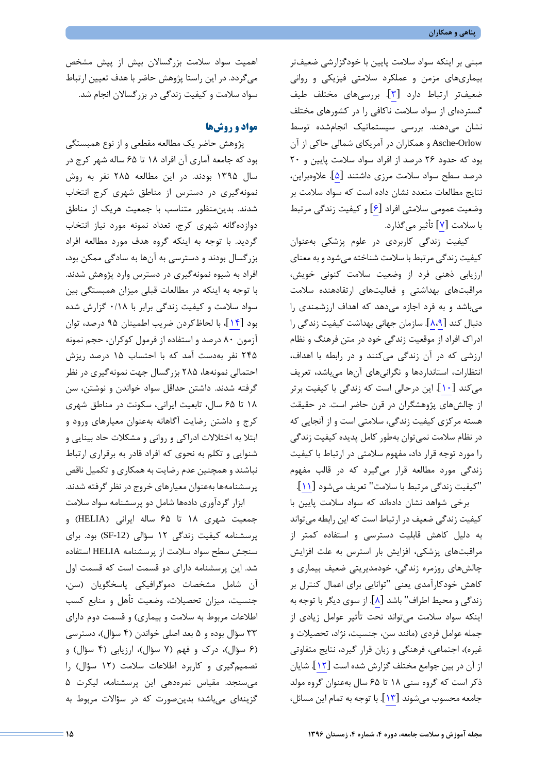مبنی بر اینکه سواد سلامت پایین با خودگزارشی ضعیفتر بیماريهاي مزمن و عملکرد سلامتی فیزیکی و روانی ضعیفتر ارتباط دارد [[3](#page-6-2)]. بررسیهاي مختلف طیف گستردهاي از سواد سلامت ناکافی را در کشورهاي مختلف نشان میدهند. بررسی سیستماتیک انجامشده توسط Orlow-Asche و همکاران در آمریکاي شمالی حاکی از آن بود که حدود 26 درصد از افراد سواد سلامت پایین و 20 درصد سطح سواد سلامت مرزي داشتند [[5](#page-6-4)]. علاوهبراین، نتایج مطالعات متعدد نشان داده است که سواد سلامت بر وضعیت عمومی سلامتی افراد [[6](#page-6-5)] و کیفیت زندگی مرتبط با سلامت [[7](#page-6-6)] تأثیر میگذارد.

کیفیت زندگی کاربردي در علوم پزشکی بهعنوان کیفیت زندگی مرتبط با سلامت شناخته میشودو به معناي ارزیابی ذهنی فرد از وضعیت سلامت کنونی خویش، مراقبتهاي بهداشتی و فعالیتهاي ارتقادهنده سلامت میباشد و به فرد اجازه میدهد که اهداف ارزشمندي را دنبال کند [[8](#page-6-8)[،9](#page-6-7)]. سازمان جهانی بهداشت کیفیت زندگی را ادراك افراد از موقعیت زندگی خود در متن فرهنگ و نظام ارزشی که در آن زندگی میکنند و در رابطه با اهداف، انتظارات، استانداردها و نگرانیهاي آنها میباشد، تعریف می کند [۱۰]. این درحالی است که زندگی با کیفیت برتر از چالشهاي پژوهشگران در قرن حاضر است. در حقیقت هسته مرکزي کیفیت زندگی، سلامتی است و از آنجایی که در نظام سلامت نمیتوان بهطور کامل پدیده کیفیت زندگی را مورد توجه قرار داد، مفهوم سلامتی در ارتباط با کیفیت زندگی مورد مطالعه قرار میگیرد که در قالب مفهوم "کیفیت زندگی مرتبط با سلامت" تعریف میشود [[11](#page-6-10)].

برخی شواهد نشان دادهاند که سواد سلامت پایین با کیفیت زندگی ضعیف در ارتباط است که این رابطه میتواند به دلیل کاهش قابلیت دسترسی و استفاده کمتر از مراقبتهاي پزشکی، افزایش بار استرس به علت افزایش چالشهاي روزمره زندگی، خودمدیریتی ضعیف بیماري و کاهش خودکارآمدي یعنی "توانایی براي اعمال کنترل بر زندگی و محیط اطراف" باشد [[8](#page-6-7)]. از سوي دیگر با توجه به اینکه سواد سلامت میتواند تحت تأثیر عوامل زیادي از جمله عوامل فردي (مانند سن، جنسیت، نژاد، تحصیلات و غیره)، اجتماعی، فرهنگی و زبان قرار گیرد، نتایج متفاوتی از آن در بین جوامع مختلف گزارش شده است [[12](#page-6-11)]. شایان ذکر است که گروه سنی 18 تا 65 سال بهعنوان گروه مولد جامعه محسوب میشوند [[13](#page-6-12)]. با توجه به تمام این مسائل،

اهمیت سواد سلامت بزرگسالان بیش از پیش مشخص میگردد. در این راستا پژوهش حاضر با هدف تعیین ارتباط سواد سلامت و کیفیت زندگی در بزرگسالان انجام شد.

## **مواد و روشها**

پژوهش حاضر یک مطالعه مقطعی و از نوع همبستگی بود که جامعه آماري آن افراد 18 تا 65 ساله شهر کرج در سال 1395 بودند. در این مطالعه 285 نفر به روش نمونهگیري در دسترس از مناطق شهري کرج انتخاب شدند. بدینمنظور متناسب با جمعیت هریک از مناطق دوازدهگانه شهري کرج، تعداد نمونه مورد نیاز انتخاب گردید. با توجه به اینکه گروه هدف مورد مطالعه افراد بزرگسال بودند و دسترسی به آنها به سادگی ممکن بود، افراد به شیوه نمونهگیري در دسترس وارد پژوهش شدند. با توجه به اینکه در مطالعات قبلی میزان همبستگی بین سواد سلامت و کیفیت زندگی برابر با 0/18 گزارش شده بود [[14](#page-6-13)]، با لحاظکردن ضریب اطمینان 95 درصد، توان آزمون 80 درصد و استفاده از فرمول کوکران، حجم نمونه 245 نفر بهدست آمد که با احتساب 15 درصد ریزش احتمالی نمونهها، 285 بزرگسال جهت نمونهگیري در نظر گرفته شدند. داشتن حداقل سواد خواندن و نوشتن، سن 18 تا 65 سال، تابعیت ایرانی، سکونت در مناطق شهري کرج و داشتن رضایت آگاهانه بهعنوان معیارهاي ورود و ابتلا به اختلالات ادراکی و روانی و مشکلات حاد بینایی و شنوایی و تکلم به نحوي که افراد قادر به برقراري ارتباط نباشند و همچنین عدم رضایت به همکاري و تکمیل ناقص پرسشنامهها بهعنوان معیارهاي خروج در نظر گرفته شدند.

ابزار گردآوري دادهها شامل دو پرسشنامه سواد سلامت جمعیت شهري 18 تا 65 ساله ایرانی (HELIA (و پرسشنامه کیفیت زندگی 12 سؤالی (-12SF (بود. براي سنجش سطح سواد سلامت از پرسشنامه HELIA استفاده شد. این پرسشنامه داراي دو قسمت است که قسمت اول آن شامل مشخصات دموگرافیکی پاسخگویان (سن، جنسیت، میزان تحصیلات، وضعیت تأهل و منابع کسب اطلاعات مربوط به سلامت و بیماري) و قسمت دوم داراي 33 سؤال بوده و 5 بعد اصلی خواندن (4 سؤال)، دسترسی (6 سؤال)، درك و فهم (7 سؤال)، ارزیابی (4 سؤال) و تصمیمگیري و کاربرد اطلاعات سلامت (12 سؤال) را میسنجد. مقیاس نمرهدهی این پرسشنامه، لیکرت 5 گزینهاي میباشد؛ بدینصورت که در سؤالات مربوط به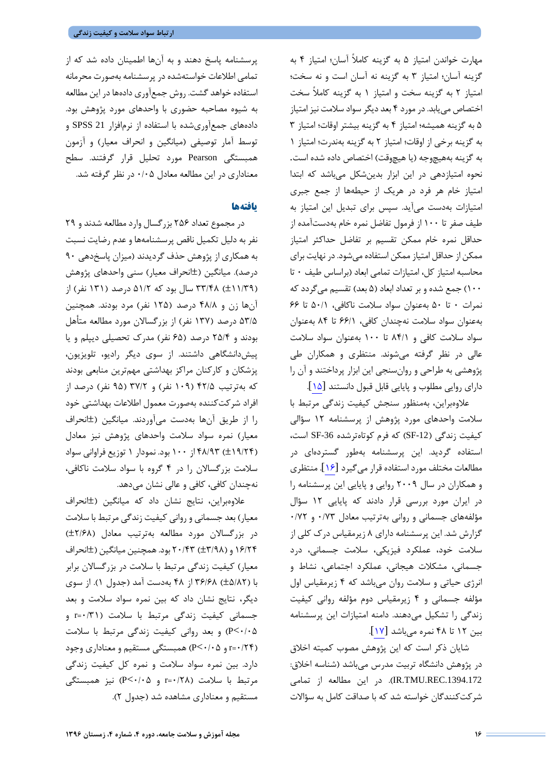مهارت خواندن امتیاز 5 به گزینه کاملاً آسان؛ امتیاز 4 به گزینه آسان؛ امتیاز 3 به گزینه نه آسان است و نه سخت؛ امتیاز 2 به گزینه سخت و امتیاز 1 به گزینه کاملاً سخت اختصاص مییابد. در مورد 4 بعد دیگر سواد سلامت نیز امتیاز 5 به گزینه همیشه؛ امتیاز 4 به گزینه بیشتر اوقات؛ امتیاز 3 به گزینه برخی از اوقات؛ امتیاز 2 به گزینه بهندرت؛ امتیاز 1 به گزینه بههیچوجه (یا هیچوقت) اختصاص داده شده است. نحوه امتیازدهی در این ابزار بدینشکل میباشد که ابتدا امتیاز خام هر فرد در هریک از حیطهها از جمع جبري امتیازات بهدست میآید. سپس براي تبدیل این امتیاز به طیف صفر تا 100 از فرمول تفاضل نمره خام بهدستآمده از حداقل نمره خام ممکن تقسیم بر تفاضل حداکثر امتیاز ممکن از حداقل امتیاز ممکن استفاده میشود. در نهایت براي محاسبه امتیاز کل، امتیازات تمامی ابعاد (براساس طیف 0 تا 100) جمع شده و بر تعداد ابعاد (5 بعد) تقسیم میگردد که نمرات 0 تا 50 بهعنوان سواد سلامت ناکافی، 50/1 تا 66 بهعنوان سواد سلامت نهچندان کافی، 66/1 تا 84 بهعنوان سواد سلامت کافی و 84/1 تا 100 بهعنوان سواد سلامت عالی در نظر گرفته میشوند. منتظري و همکاران طی پژوهشی به طراحی و روانسنجی این ابزار پرداختند و آن را داراي روایی مطلوب و پایایی قابل قبول دانستند [[15](#page-6-14)].

علاوهبراین، بهمنظور سنجش کیفیت زندگی مرتبط با سلامت واحدهاي مورد پژوهش از پرسشنامه 12 سؤالی کیفیت زندگی (SF-12) که فرم کوتاهترشده SF-36 است، استفاده گردید. این پرسشنامه بهطور گستردهاي در مطالعات مختلف مورد استفاده قرار میگیرد [[16](#page-6-15)]. منتظري و همکاران در سال 2009 روایی و پایایی این پرسشنامه را در ایران مورد بررسی قرار دادند که پایایی 12 سؤال مؤلفههاي جسمانی و روانی بهترتیب معادل 0/73 و 0/72 گزارش شد. این پرسشنامه داراي 8 زیرمقیاس درك کلی از سلامت خود، عملکرد فیزیکی، سلامت جسمانی، درد جسمانی، مشکلات هیجانی، عملکرد اجتماعی، نشاط و انرژي حیاتی و سلامت روان میباشد که 4 زیرمقیاس اول مؤلفه جسمانی و 4 زیرمقیاس دوم مؤلفه روانی کیفیت زندگی را تشکیل میدهند. دامنه امتیازات این پرسشنامه بین 12 تا 48 نمره میباشد [[17](#page-6-16)].

شایان ذکر است که این پژوهش مصوب کمیته اخلاق در پژوهش دانشگاه تربیت مدرس میباشد (شناسه اخلاق: .1394.172REC.TMU.IR(. در این مطالعه از تمامی شرکتکنندگان خواسته شد که با صداقت کامل به سؤالات

پرسشنامه پاسخ دهند و به آنها اطمینان داده شد که از تمامی اطلاعات خواستهشده در پرسشنامه بهصورت محرمانه استفاده خواهد گشت. روش جمعآوري دادهها در این مطالعه به شیوه مصاحبه حضوري با واحدهاي مورد پژوهش بود. دادههاي جمعآوريشده با استفاده از نرمافزار 21 SPSS و توسط آمار توصیفی (میانگین و انحراف معیار) و آزمون همبستگی Pearson مورد تحلیل قرار گرفتند. سطح معناداري در این مطالعه معادل 0/05 در نظر گرفته شد.

## **یافتهها**

در مجموع تعداد 256 بزرگسال وارد مطالعه شدند و 29 نفر به دلیل تکمیل ناقص پرسشنامهها و عدم رضایت نسبت به همکاري از پژوهش حذف گردیدند (میزان پاسخدهی 90 درصد). میانگین (±انحراف معیار) سنی واحدهاي پژوهش (±11/39) 33/48 سال بود که 51/2 درصد (131 نفر) از آنها زن و 48/8 درصد (125 نفر) مرد بودند. همچنین 53/5 درصد (137 نفر) از بزرگسالان مورد مطالعه متأهل بودند و 25/4 درصد (65 نفر) مدرك تحصیلی دیپلم و یا پیشدانشگاهی داشتند. از سوي دیگر رادیو، تلویزیون، پزشکان و کارکنان مراکز بهداشتی مهمترین منابعی بودند که بهترتیب 42/5 (109 نفر) و 37/2 (95 نفر) درصد از افراد شرکتکننده بهصورت معمول اطلاعات بهداشتی خود را از طریق آنها بهدست میآوردند. میانگین (±انحراف معیار) نمره سواد سلامت واحدهاي پژوهش نیز معادل (±19/24) 48/93 از 100 بود. نمودار 1 توزیع فراوانی سواد سلامت بزرگسالان را در 4 گروه با سواد سلامت ناکافی، نهچندان کافی، کافی و عالی نشان میدهد.

علاوهبراین، نتایج نشان داد که میانگین (±انحراف معیار) بعد جسمانی و روانی کیفیت زندگی مرتبط با سلامت در بزرگسالان مورد مطالعه بهترتیب معادل (±2/68) 16/24 و (±3/98) 20/43 بود. همچنین میانگین (±انحراف معیار) کیفیت زندگی مرتبط با سلامت در بزرگسالان برابر با (±5/82) 36/68 از 48 بهدست آمد (جدول 1). از سوي دیگر، نتایج نشان داد که بین نمره سواد سلامت و بعد جسمانی کیفیت زندگی مرتبط با سلامت (0/31=r و 0/05>P (و بعد روانی کیفیت زندگی مرتبط با سلامت (0/24=r و 0/05>P (همبستگی مستقیم و معناداري وجود دارد. بین نمره سواد سلامت و نمره کل کیفیت زندگی مرتبط با سلامت (0/28=r و 0/05>P (نیز همبستگی مستقیم و معناداري مشاهده شد (جدول 2).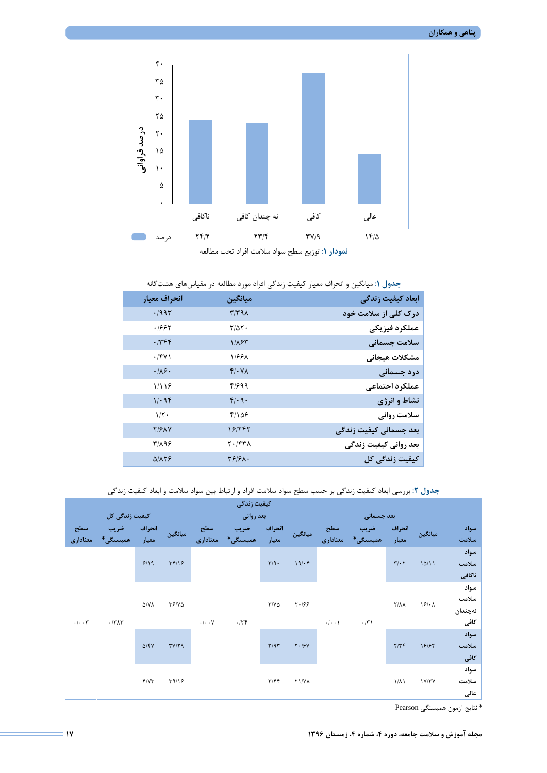

**جدول :1** میانگین و انحراف معیار کیفیت زندگی افراد مورد مطالعه در مقیاسهاي هشتگانه

| انحراف معيار       | ميانگين                    | ابعاد كيفيت زندگى      |
|--------------------|----------------------------|------------------------|
| .7995              | $\mathcal{N}(\mathcal{A})$ | درک کلی از سلامت خود   |
| ۱۶۶۲               | $Y/\Delta Y$ .             | عملكرد فيزيكي          |
| .749               | 1/185                      | سلامت جسمانى           |
| .78V               | 1188X                      | مشكلات هيجاني          |
| .119.              | $f/\cdot Y$                | درد جسمانی             |
| 1/19               | 4/699                      | عملكرد اجتماعي         |
| 11.98              | $f(\cdot q)$               | نشاط و انرژی           |
| $1/\tau$ .         | $f/\Delta$ ۶               | سلامت روانی            |
| Y/2XY              | 18/۲۴۲                     | بعد جسمانی کیفیت زندگی |
| ۳/۸۹۶              | ۲۰/۴۳۸                     | بعد روانی کیفیت زندگی  |
| $\Delta/\lambda Y$ | $\frac{1}{2}$              | كيفيت زندگى كل         |

**جدول :2** بررسی ابعاد کیفیت زندگی بر حسب سطح سواد سلامت افراد و ارتباط بین سواد سلامت و ابعاد کیفیت زندگی

| كيفيت زندگى                     |                                       |               |                                                                              |          |                           |             |                    |             |                              |               |         |       |
|---------------------------------|---------------------------------------|---------------|------------------------------------------------------------------------------|----------|---------------------------|-------------|--------------------|-------------|------------------------------|---------------|---------|-------|
| كيفيت زندگى كل                  |                                       |               | بعد روانی                                                                    |          |                           | بعد جسمانی  |                    |             |                              |               |         |       |
| سطح                             | ضريب                                  | انحراف        | ميانگين                                                                      | سطح      | ضريب                      | انحراف      | ميانگين            | سطح         | ضريب                         | انحراف        | ميانگين | سواد  |
| معنادارى                        | همبستگے،*                             | معيار         |                                                                              | معنادارى | همبستگی                   | معيار       |                    | معنادارى    | همبستگی                      | معيار         |         | سلامت |
| $\cdot/\cdot\cdot\tau$<br>.77AT |                                       |               |                                                                              |          |                           |             |                    |             |                              |               |         | سواد  |
|                                 | TT/19<br>9/19                         |               |                                                                              |          | $\mathbf{r}/\mathbf{q}$ . | 19/65       |                    |             | $\mathbf{r}/\cdot\mathbf{r}$ | 10/11         | سلامت   |       |
|                                 |                                       |               |                                                                              |          |                           |             |                    |             |                              |               | ناكافي  |       |
|                                 | $\Delta/\mathrm{V}\mathrm{A}$<br>YY/Y |               |                                                                              |          | $\tau/\nu\Delta$          | 5.199       |                    |             | $Y/\lambda\lambda$           | $\frac{1}{2}$ | سواد    |       |
|                                 |                                       |               |                                                                              |          |                           |             |                    |             |                              |               | سلامت   |       |
|                                 |                                       |               |                                                                              |          |                           |             |                    |             |                              | نەچندان       |         |       |
|                                 |                                       |               | $\boldsymbol{\cdot}\, \boldsymbol{\cdot}\,\boldsymbol{\cdot}\,$ $\mathsf{V}$ | .779     |                           |             | $\cdot/\cdot\cdot$ | $\cdot$ /٣١ |                              |               | كافى    |       |
|                                 | $\Delta$ /۴۷<br>TY/Y9                 |               |                                                                              |          |                           |             |                    |             |                              |               | سواد    |       |
|                                 |                                       |               |                                                                              | T/9T     | $Y \cdot  Y$              |             |                    | Y/YY        | 18187                        | سلامت         |         |       |
|                                 |                                       |               |                                                                              |          |                           |             |                    |             |                              |               | كافى    |       |
|                                 | Y/YY                                  |               |                                                                              |          |                           |             |                    |             | $1/\lambda$                  | 1Y/YY         | سواد    |       |
|                                 |                                       | $\Gamma$ 9/18 |                                                                              |          | $\mathbf{r}/\mathbf{f}$   | <b>TIVA</b> |                    |             |                              |               | سلامت   |       |
|                                 |                                       |               |                                                                              |          |                           |             |                    |             |                              |               | عالى    |       |

\* نتایج آزمون همبستگی Pearson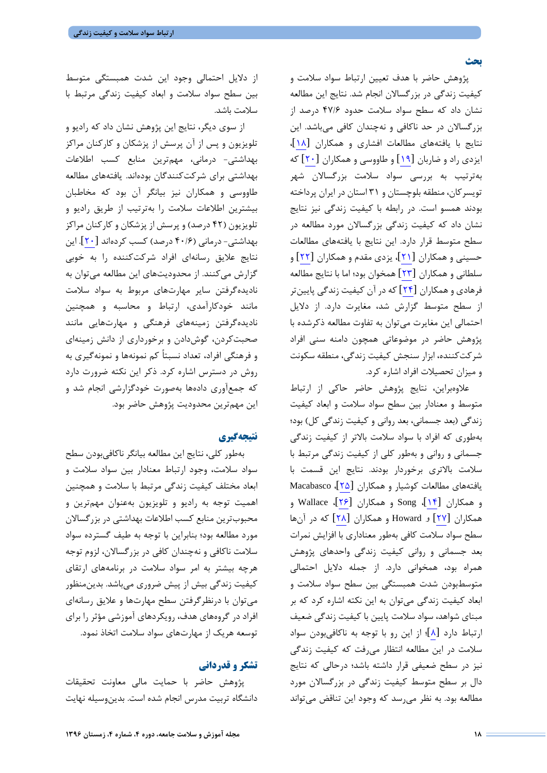**بحث**

پژوهش حاضر با هدف تعیین ارتباط سواد سلامت و کیفیت زندگی در بزرگسالان انجام شد. نتایج این مطالعه نشان داد که سطح سواد سلامت حدود 47/6 درصد از بزرگسالان در حد ناکافی و نهچندان کافی میباشد. این نتایج با یافتههاي مطالعات افشاري و همکاران [[18](#page-6-17)]، ایزدي راد و ضاربان [[19](#page-6-18)] و طاووسی و همکاران [[20](#page-6-19)] که بهترتیب به بررسی سواد سلامت بزرگسالان شهر تویسرکان، منطقه بلوچستان و 31 استان در ایران پرداخته بودند همسو است. در رابطه با کیفیت زندگی نیز نتایج نشان داد که کیفیت زندگی بزرگسالان مورد مطالعه در سطح متوسط قرار دارد. این نتایج با یافتههاي مطالعات حسینی و همکاران [[21](#page-6-20)]، یزدي مقدم و همکاران [[22](#page-6-21)] و سلطانی و همکاران [[23](#page-6-22)] همخوان بود؛ اما با نتایج مطالعه فرهادي و همکاران [[24](#page-6-23)] که در آن کیفیت زندگی پایینتر از سطح متوسط گزارش شد، مغایرت دارد. از دلایل احتمالی این مغایرت میتوان به تفاوت مطالعه ذکرشده با پژوهش حاضر در موضوعاتی همچون دامنه سنی افراد شرکتکننده، ابزار سنجش کیفیت زندگی، منطقه سکونت و میزان تحصیلات افراد اشاره کرد.

علاوهبراین، نتایج پژوهش حاضر حاکی از ارتباط متوسط و معنادار بین سطح سواد سلامت و ابعاد کیفیت زندگی (بعد جسمانی، بعد روانی و کیفیت زندگی کل) بود؛ بهطوري که افراد با سواد سلامت بالاتر از کیفیت زندگی جسمانی و روانی و بهطور کلی از کیفیت زندگی مرتبط با سلامت بالاتري برخوردار بودند. نتایج این قسمت با یافتههاي مطالعات کوشیار و همکاران [[25](#page-6-24)]، Macabasco و همکاران [[14](#page-6-13)]، Song و همکاران [[26](#page-6-25)]، Wallace و همکاران [[27](#page-6-26)] و Howard و همکاران [[28](#page-6-27)] که در آنها سطح سواد سلامت کافی بهطور معناداري با افزایش نمرات بعد جسمانی و روانی کیفیت زندگی واحدهاي پژوهش همراه بود، همخوانی دارد. از جمله دلایل احتمالی متوسطبودن شدت همبستگی بین سطح سواد سلامت و ابعاد کیفیت زندگی میتوان به این نکته اشاره کرد که بر مبناي شواهد، سواد سلامت پایین با کیفیت زندگی ضعیف ارتباط دارد [[8](#page-6-7)]؛ از این رو با توجه به ناکافیبودن سواد سلامت در این مطالعه انتظار میرفت که کیفیت زندگی نیز در سطح ضعیفی قرار داشته باشد؛ درحالی که نتایج دال بر سطح متوسط کیفیت زندگی در بزرگسالان مورد مطالعه بود. به نظر میرسد که وجود این تناقض میتواند

از دلایل احتمالی وجود این شدت همبستگی متوسط بین سطح سواد سلامت و ابعاد کیفیت زندگی مرتبط با سلامت باشد.

از سوي دیگر، نتایج این پژوهش نشان داد که رادیو و تلویزیون و پس از آن پرسش از پزشکان و کارکنان مراکز بهداشتی- درمانی، مهمترین منابع کسب اطلاعات بهداشتی براي شرکتکنندگان بودهاند. یافتههاي مطالعه طاووسی و همکاران نیز بیانگر آن بود که مخاطبان بیشترین اطلاعات سلامت را بهترتیب از طریق رادیو و تلویزیون (42 درصد) و پرسش از پزشکان و کارکنان مراکز بهداشتی- درمانی (40/6 درصد) کسب کردهاند [[20](#page-6-19)]. این نتایج علایق رسانهاي افراد شرکتکننده را به خوبی گزارش میکنند. از محدودیتهاي این مطالعه میتوان به نادیدهگرفتن سایر مهارتهاي مربوط به سواد سلامت مانند خودکارآمدي، ارتباط و محاسبه و همچنین نادیدهگرفتن زمینههاي فرهنگی و مهارتهایی مانند صحبتکردن، گوشدادن و برخورداري از دانش زمینهاي و فرهنگی افراد، تعداد نسبتاً کم نمونهها و نمونهگیري به روش در دسترس اشاره کرد. ذکر این نکته ضرورت دارد که جمعآوري دادهها بهصورت خودگزارشی انجام شد و این مهمترین محدودیت پژوهش حاضر بود.

## **نتیجهگیري**

بهطور کلی، نتایج این مطالعه بیانگر ناکافیبودن سطح سواد سلامت، وجود ارتباط معنادار بین سواد سلامت و ابعاد مختلف کیفیت زندگی مرتبط با سلامت و همچنین اهمیت توجه به رادیو و تلویزیون بهعنوان مهمترین و محبوبترین منابع کسب اطلاعات بهداشتی در بزرگسالان مورد مطالعه بود؛ بنابراین با توجه به طیف گسترده سواد سلامت ناکافی و نهچندان کافی در بزرگسالان، لزوم توجه هرچه بیشتر به امر سواد سلامت در برنامههاي ارتقاي کیفیت زندگی بیش از پیش ضروري میباشد. بدینمنظور میتوان با درنظرگرفتن سطح مهارتها و علایق رسانهاي افراد در گروههاي هدف، رویکردهاي آموزشی مؤثر را براي توسعه هریک از مهارتهاي سواد سلامت اتخاذ نمود.

## **تشکر و قدردانی**

پژوهش حاضر با حمایت مالی معاونت تحقیقات دانشگاه تربیت مدرس انجام شده است. بدینوسیله نهایت